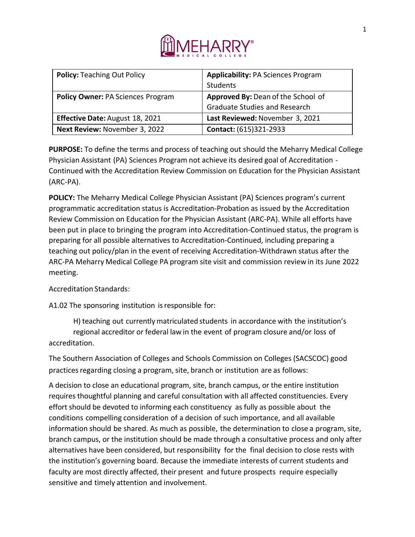

| <b>Policy: Teaching Out Policy</b>       | <b>Applicability: PA Sciences Program</b> |
|------------------------------------------|-------------------------------------------|
|                                          | Students                                  |
| <b>Policy Owner: PA Sciences Program</b> | Approved By: Dean of the School of        |
|                                          | <b>Graduate Studies and Research</b>      |
| <b>Effective Date: August 18, 2021</b>   | Last Reviewed: November 3, 2021           |
| Next Review: November 3, 2022            | <b>Contact: (615)321-2933</b>             |

**PURPOSE:** To define the terms and process of teaching out should the Meharry Medical College Physician Assistant (PA) Sciences Program not achieve its desired goal of Accreditation - Continued with the Accreditation Review Commission on Education for the Physician Assistant (ARC-PA).

**POLICY:** The Meharry Medical College Physician Assistant (PA) Sciences program's current programmatic accreditation status is Accreditation-Probation as issued by the Accreditation Review Commission on Education for the Physician Assistant (ARC-PA). While all efforts have been put in place to bringing the program into Accreditation-Continued status, the program is preparing for all possible alternatives to Accreditation-Continued, including preparing a teaching out policy/plan in the event of receiving Accreditation-Withdrawn status after the ARC-PA Meharry Medical College PA program site visit and commission review in its June 2022 meeting.

# Accreditation Standards:

A1.02 The sponsoring institution is responsible for:

H) teaching out currently matriculated students in accordance with the institution's regional accreditor or federal law in the event of program closure and/or loss of accreditation.

The Southern Association of Colleges and Schools Commission on Colleges (SACSCOC) good practices regarding closing a program, site, branch or institution are as follows:

A decision to close an educational program, site, branch campus, or the entire institution requires thoughtful planning and careful consultation with all affected constituencies. Every effort should be devoted to informing each constituency as fully as possible about the conditions compelling consideration of a decision of such importance, and all available information should be shared. As much as possible, the determination to close a program, site, branch campus, or the institution should be made through a consultative process and only after alternatives have been considered, but responsibility for the final decision to close rests with the institution's governing board. Because the immediate interests of current students and faculty are most directly affected, their present and future prospects require especially sensitive and timely attention and involvement.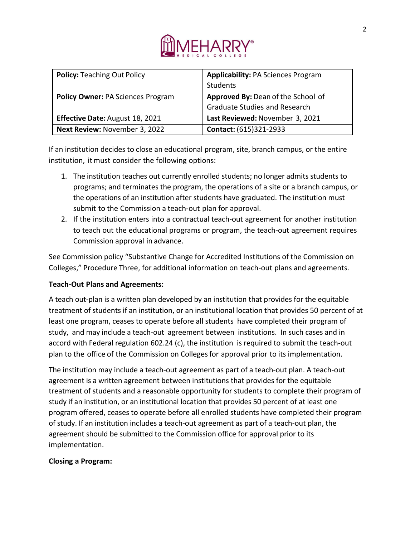

| <b>Policy: Teaching Out Policy</b>       | <b>Applicability: PA Sciences Program</b> |
|------------------------------------------|-------------------------------------------|
|                                          | Students                                  |
| <b>Policy Owner: PA Sciences Program</b> | Approved By: Dean of the School of        |
|                                          | <b>Graduate Studies and Research</b>      |
| <b>Effective Date: August 18, 2021</b>   | Last Reviewed: November 3, 2021           |
| Next Review: November 3, 2022            | <b>Contact:</b> (615)321-2933             |

If an institution decides to close an educational program, site, branch campus, or the entire institution, it must consider the following options:

- 1. The institution teaches out currently enrolled students; no longer admits students to programs; and terminates the program, the operations of a site or a branch campus, or the operations of an institution after students have graduated. The institution must submit to the Commission a teach-out plan for approval.
- 2. If the institution enters into a contractual teach-out agreement for another institution to teach out the educational programs or program, the teach-out agreement requires Commission approval in advance.

See Commission policy "Substantive Change for Accredited Institutions of the Commission on Colleges," Procedure Three, for additional information on teach-out plans and agreements.

# **Teach-Out Plans and Agreements:**

A teach out-plan is a written plan developed by an institution that provides for the equitable treatment of students if an institution, or an institutional location that provides 50 percent of at least one program, ceases to operate before all students have completed their program of study, and may include a teach-out agreement between institutions. In such cases and in accord with Federal regulation 602.24 (c), the institution is required to submit the teach-out plan to the office of the Commission on Colleges for approval prior to its implementation.

The institution may include a teach-out agreement as part of a teach-out plan. A teach-out agreement is a written agreement between institutions that provides for the equitable treatment of students and a reasonable opportunity for students to complete their program of study if an institution, or an institutional location that provides 50 percent of at least one program offered, ceases to operate before all enrolled students have completed their program of study. If an institution includes a teach-out agreement as part of a teach-out plan, the agreement should be submitted to the Commission office for approval prior to its implementation.

## **Closing a Program:**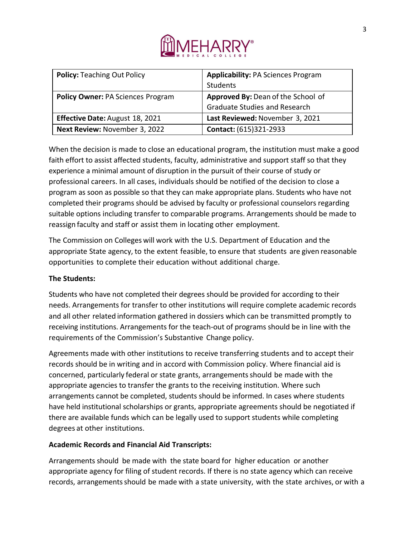

| <b>Policy: Teaching Out Policy</b>       | <b>Applicability: PA Sciences Program</b> |
|------------------------------------------|-------------------------------------------|
|                                          | Students                                  |
| <b>Policy Owner: PA Sciences Program</b> | Approved By: Dean of the School of        |
|                                          | <b>Graduate Studies and Research</b>      |
| Effective Date: August 18, 2021          | Last Reviewed: November 3, 2021           |
| Next Review: November 3, 2022            | Contact: (615)321-2933                    |

When the decision is made to close an educational program, the institution must make a good faith effort to assist affected students, faculty, administrative and support staff so that they experience a minimal amount of disruption in the pursuit of their course of study or professional careers. In all cases, individuals should be notified of the decision to close a program as soon as possible so that they can make appropriate plans. Students who have not completed their programs should be advised by faculty or professional counselors regarding suitable options including transfer to comparable programs. Arrangements should be made to reassign faculty and staff or assist them in locating other employment.

The Commission on Colleges will work with the U.S. Department of Education and the appropriate State agency, to the extent feasible, to ensure that students are given reasonable opportunities to complete their education without additional charge.

# **The Students:**

Students who have not completed their degrees should be provided for according to their needs. Arrangements for transfer to other institutions will require complete academic records and all other related information gathered in dossiers which can be transmitted promptly to receiving institutions. Arrangements for the teach-out of programs should be in line with the requirements of the Commission's Substantive Change policy.

Agreements made with other institutions to receive transferring students and to accept their records should be in writing and in accord with Commission policy. Where financial aid is concerned, particularly federal or state grants, arrangements should be made with the appropriate agencies to transfer the grants to the receiving institution. Where such arrangements cannot be completed, students should be informed. In cases where students have held institutional scholarships or grants, appropriate agreements should be negotiated if there are available funds which can be legally used to support students while completing degrees at other institutions.

# **Academic Records and Financial Aid Transcripts:**

Arrangements should be made with the state board for higher education or another appropriate agency for filing of student records. If there is no state agency which can receive records, arrangementsshould be made with a state university, with the state archives, or with a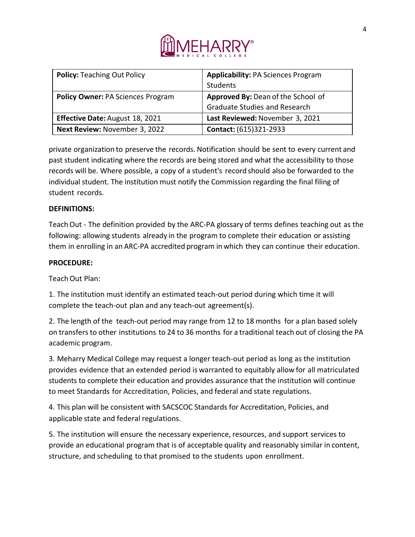

| <b>Policy: Teaching Out Policy</b>       | <b>Applicability: PA Sciences Program</b> |
|------------------------------------------|-------------------------------------------|
|                                          | <b>Students</b>                           |
| <b>Policy Owner: PA Sciences Program</b> | Approved By: Dean of the School of        |
|                                          | <b>Graduate Studies and Research</b>      |
| <b>Effective Date: August 18, 2021</b>   | Last Reviewed: November 3, 2021           |
| Next Review: November 3, 2022            | Contact: (615)321-2933                    |

private organization to preserve the records. Notification should be sent to every current and past student indicating where the records are being stored and what the accessibility to those records will be. Where possible, a copy of a student's record should also be forwarded to the individual student. The institution must notify the Commission regarding the final filing of student records.

## **DEFINITIONS:**

Teach Out - The definition provided by the ARC-PA glossary of terms defines teaching out as the following: allowing students already in the program to complete their education or assisting them in enrolling in an ARC-PA accredited program in which they can continue their education.

## **PROCEDURE:**

Teach Out Plan:

1. The institution must identify an estimated teach-out period during which time it will complete the teach-out plan and any teach-out agreement(s).

2. The length of the teach-out period may range from 12 to 18 months for a plan based solely on transfers to other institutions to 24 to 36 months for a traditional teach out of closing the PA academic program.

3. Meharry Medical College may request a longer teach-out period as long as the institution provides evidence that an extended period is warranted to equitably allow for all matriculated students to complete their education and provides assurance that the institution will continue to meet Standards for Accreditation, Policies, and federal and state regulations.

4. This plan will be consistent with SACSCOC Standards for Accreditation, Policies, and applicable state and federal regulations.

5. The institution will ensure the necessary experience, resources, and support services to provide an educational program that is of acceptable quality and reasonably similar in content, structure, and scheduling to that promised to the students upon enrollment.